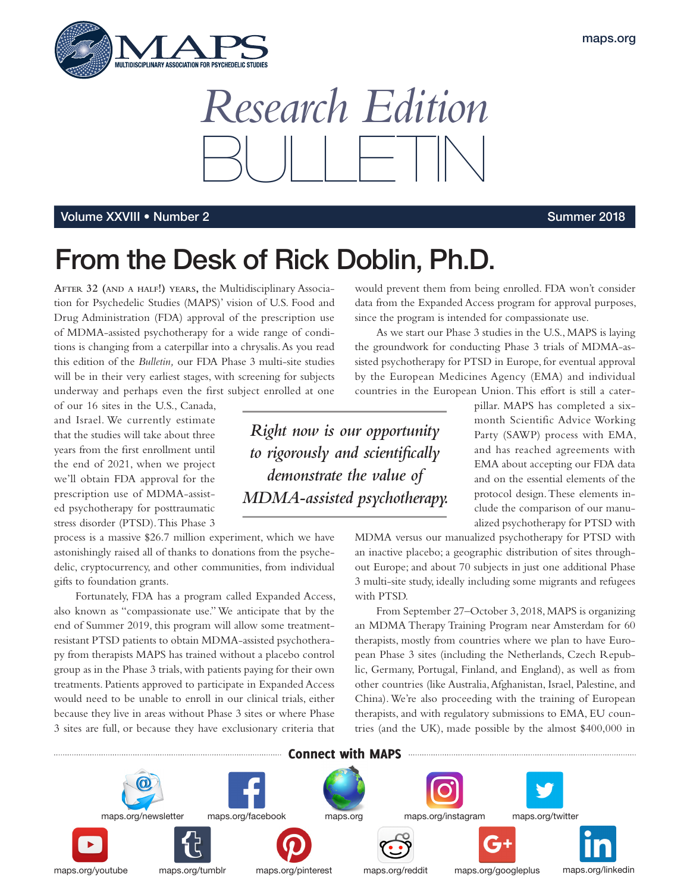



## 7PM Volume XXVIII • Number 2

## From the Desk of Rick Doblin, Ph.D.

**AFTER 32 (AND <sup>A</sup> HALF!) YEARS,** the Multidisciplinary Association for Psychedelic Studies (MAPS)' vision of U.S. Food and Drug Administration (FDA) approval of the prescription use of MDMA-assisted psychotherapy for a wide range of conditions is changing from a caterpillar into a chrysalis. As you read this edition of the *Bulletin,* our FDA Phase 3 multi-site studies will be in their very earliest stages, with screening for subjects underway and perhaps even the frst subject enrolled at one

of our 16 sites in the U.S., Canada, and Israel. We currently estimate that the studies will take about three years from the frst enrollment until the end of 2021, when we project we'll obtain FDA approval for the prescription use of MDMA-assisted psychotherapy for posttraumatic stress disorder (PTSD). This Phase 3

process is a massive \$26.7 million experiment, which we have astonishingly raised all of thanks to donations from the psychedelic, cryptocurrency, and other communities, from individual gifts to foundation grants.

Fortunately, FDA has a program called Expanded Access, also known as "compassionate use." We anticipate that by the end of Summer 2019, this program will allow some treatmentresistant PTSD patients to obtain MDMA-assisted psychotherapy from therapists MAPS has trained without a placebo control group as in the Phase 3 trials, with patients paying for their own treatments. Patients approved to participate in Expanded Access would need to be unable to enroll in our clinical trials, either because they live in areas without Phase 3 sites or where Phase 3 sites are full, or because they have exclusionary criteria that

would prevent them from being enrolled. FDA won't consider data from the Expanded Access program for approval purposes, since the program is intended for compassionate use.

As we start our Phase 3 studies in the U.S., MAPS is laying the groundwork for conducting Phase 3 trials of MDMA-assisted psychotherapy for PTSD in Europe, for eventual approval by the European Medicines Agency (EMA) and individual countries in the European Union. This efort is still a cater-

*Right now is our opportunity to rigorously and scientifcally demonstrate the value of MDMA-assisted psychotherapy.*  pillar. MAPS has completed a sixmonth Scientific Advice Working Party (SAWP) process with EMA, and has reached agreements with EMA about accepting our FDA data and on the essential elements of the protocol design. These elements include the comparison of our manualized psychotherapy for PTSD with

MDMA versus our manualized psychotherapy for PTSD with an inactive placebo; a geographic distribution of sites throughout Europe; and about 70 subjects in just one additional Phase 3 multi-site study, ideally including some migrants and refugees with PTSD.

From September 27–October 3, 2018, MAPS is organizing an MDMA Therapy Training Program near Amsterdam for 60 therapists, mostly from countries where we plan to have European Phase 3 sites (including the Netherlands, Czech Republic, Germany, Portugal, Finland, and England), as well as from other countries (like Australia, Afghanistan, Israel, Palestine, and China). We're also proceeding with the training of European therapists, and with regulatory submissions to EMA, EU countries (and the UK), made possible by the almost \$400,000 in